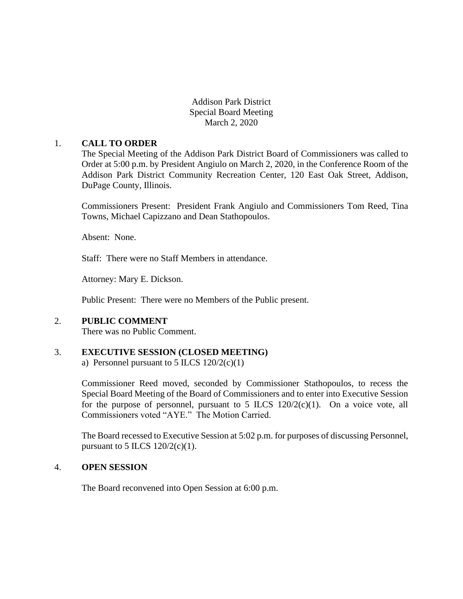Addison Park District Special Board Meeting March 2, 2020

## 1. **CALL TO ORDER**

The Special Meeting of the Addison Park District Board of Commissioners was called to Order at 5:00 p.m. by President Angiulo on March 2, 2020, in the Conference Room of the Addison Park District Community Recreation Center, 120 East Oak Street, Addison, DuPage County, Illinois.

Commissioners Present: President Frank Angiulo and Commissioners Tom Reed, Tina Towns, Michael Capizzano and Dean Stathopoulos.

Absent: None.

Staff: There were no Staff Members in attendance.

Attorney: Mary E. Dickson.

Public Present: There were no Members of the Public present.

## 2. **PUBLIC COMMENT**

There was no Public Comment.

## 3. **EXECUTIVE SESSION (CLOSED MEETING)**

a) Personnel pursuant to  $5$  ILCS  $120/2(c)(1)$ 

Commissioner Reed moved, seconded by Commissioner Stathopoulos, to recess the Special Board Meeting of the Board of Commissioners and to enter into Executive Session for the purpose of personnel, pursuant to 5 ILCS  $120/2(c)(1)$ . On a voice vote, all Commissioners voted "AYE." The Motion Carried.

The Board recessed to Executive Session at 5:02 p.m. for purposes of discussing Personnel, pursuant to 5 ILCS  $120/2(c)(1)$ .

### 4. **OPEN SESSION**

The Board reconvened into Open Session at 6:00 p.m.